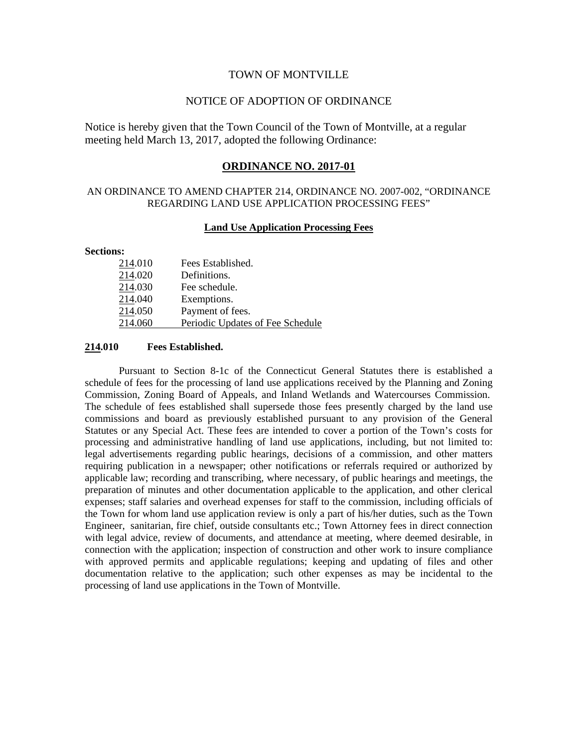### TOWN OF MONTVILLE

## NOTICE OF ADOPTION OF ORDINANCE

Notice is hereby given that the Town Council of the Town of Montville, at a regular meeting held March 13, 2017, adopted the following Ordinance:

## **ORDINANCE NO. 2017-01**

# AN ORDINANCE TO AMEND CHAPTER 214, ORDINANCE NO. 2007-002, "ORDINANCE REGARDING LAND USE APPLICATION PROCESSING FEES"

## **Land Use Application Processing Fees**

#### **Sections:**

| 214.010 | Fees Established.                |
|---------|----------------------------------|
| 214.020 | Definitions.                     |
| 214.030 | Fee schedule.                    |
| 214.040 | Exemptions.                      |
| 214.050 | Payment of fees.                 |
| 214.060 | Periodic Updates of Fee Schedule |

### **214.010 Fees Established.**

Pursuant to Section 8-1c of the Connecticut General Statutes there is established a schedule of fees for the processing of land use applications received by the Planning and Zoning Commission, Zoning Board of Appeals, and Inland Wetlands and Watercourses Commission. The schedule of fees established shall supersede those fees presently charged by the land use commissions and board as previously established pursuant to any provision of the General Statutes or any Special Act. These fees are intended to cover a portion of the Town's costs for processing and administrative handling of land use applications, including, but not limited to: legal advertisements regarding public hearings, decisions of a commission, and other matters requiring publication in a newspaper; other notifications or referrals required or authorized by applicable law; recording and transcribing, where necessary, of public hearings and meetings, the preparation of minutes and other documentation applicable to the application, and other clerical expenses; staff salaries and overhead expenses for staff to the commission, including officials of the Town for whom land use application review is only a part of his/her duties, such as the Town Engineer, sanitarian, fire chief, outside consultants etc.; Town Attorney fees in direct connection with legal advice, review of documents, and attendance at meeting, where deemed desirable, in connection with the application; inspection of construction and other work to insure compliance with approved permits and applicable regulations; keeping and updating of files and other documentation relative to the application; such other expenses as may be incidental to the processing of land use applications in the Town of Montville.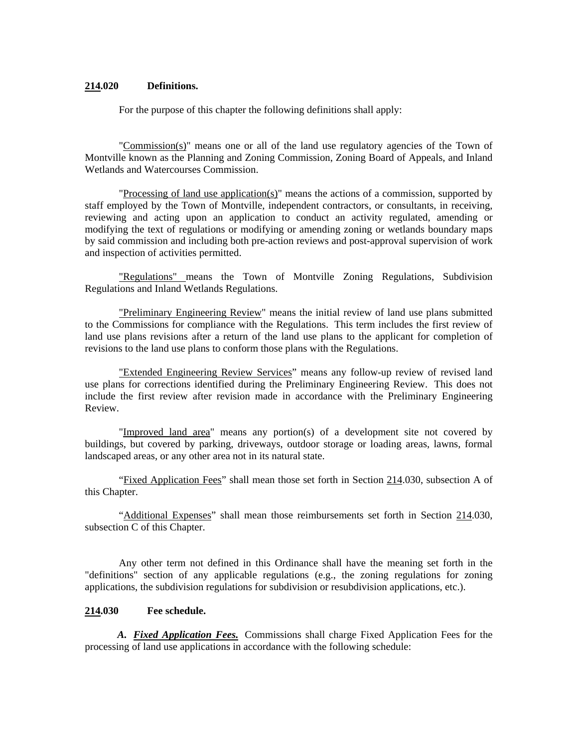## **214.020 Definitions.**

For the purpose of this chapter the following definitions shall apply:

"Commission(s)" means one or all of the land use regulatory agencies of the Town of Montville known as the Planning and Zoning Commission, Zoning Board of Appeals, and Inland Wetlands and Watercourses Commission.

"Processing of land use application(s)" means the actions of a commission, supported by staff employed by the Town of Montville, independent contractors, or consultants, in receiving, reviewing and acting upon an application to conduct an activity regulated, amending or modifying the text of regulations or modifying or amending zoning or wetlands boundary maps by said commission and including both pre-action reviews and post-approval supervision of work and inspection of activities permitted.

"Regulations" means the Town of Montville Zoning Regulations, Subdivision Regulations and Inland Wetlands Regulations.

"Preliminary Engineering Review" means the initial review of land use plans submitted to the Commissions for compliance with the Regulations. This term includes the first review of land use plans revisions after a return of the land use plans to the applicant for completion of revisions to the land use plans to conform those plans with the Regulations.

"Extended Engineering Review Services" means any follow-up review of revised land use plans for corrections identified during the Preliminary Engineering Review. This does not include the first review after revision made in accordance with the Preliminary Engineering Review.

"Improved land area" means any portion(s) of a development site not covered by buildings, but covered by parking, driveways, outdoor storage or loading areas, lawns, formal landscaped areas, or any other area not in its natural state.

"Fixed Application Fees" shall mean those set forth in Section 214.030, subsection A of this Chapter.

"Additional Expenses" shall mean those reimbursements set forth in Section 214.030, subsection C of this Chapter.

Any other term not defined in this Ordinance shall have the meaning set forth in the "definitions" section of any applicable regulations (e.g., the zoning regulations for zoning applications, the subdivision regulations for subdivision or resubdivision applications, etc.).

#### **214.030 Fee schedule.**

*A. Fixed Application Fees.* Commissions shall charge Fixed Application Fees for the processing of land use applications in accordance with the following schedule: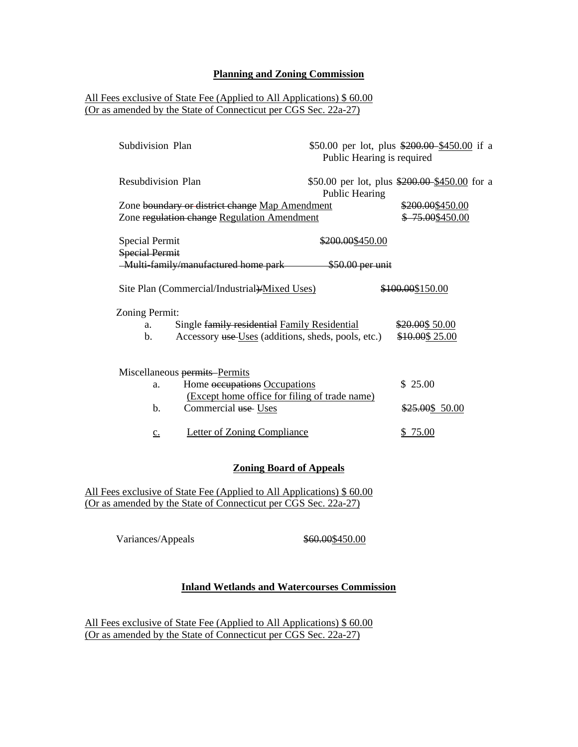### **Planning and Zoning Commission**

# All Fees exclusive of State Fee (Applied to All Applications) \$ 60.00 (Or as amended by the State of Connecticut per CGS Sec. 22a-27)

| Subdivision Plan      |                                                       | Public Hearing is required | \$50.00 per lot, plus \$200.00 \$450.00 if a  |
|-----------------------|-------------------------------------------------------|----------------------------|-----------------------------------------------|
| Resubdivision Plan    |                                                       | Public Hearing             | \$50.00 per lot, plus \$200.00 \$450.00 for a |
|                       | Zone boundary or district change Map Amendment        |                            | \$200.00\$450.00                              |
|                       | Zone regulation change Regulation Amendment           |                            | \$75.00\$450.00                               |
| <b>Special Permit</b> |                                                       | \$200.00\$450.00           |                                               |
| <b>Special Permit</b> |                                                       |                            |                                               |
|                       | -Multi-family/manufactured home park \$50.00 per unit |                            |                                               |
| <b>Zoning Permit:</b> | Site Plan (Commercial/Industrial)/Mixed Uses)         |                            | \$100.00\$150.00                              |
| a.                    | Single family residential Family Residential          |                            | \$20.00\$ 50.00                               |
|                       |                                                       |                            |                                               |
| b.                    | Accessory use-Uses (additions, sheds, pools, etc.)    |                            | \$10.00\$ 25.00                               |
|                       | Miscellaneous permits Permits                         |                            |                                               |
| a.                    | Home occupations Occupations                          |                            | \$25.00                                       |
|                       | (Except home office for filing of trade name)         |                            |                                               |
| b.                    | Commercial use Uses                                   |                            | \$25.00\$ 50.00                               |
| $\underline{c}$ .     | <b>Letter of Zoning Compliance</b>                    |                            | \$75.00                                       |
|                       |                                                       |                            |                                               |

## **Zoning Board of Appeals**

All Fees exclusive of State Fee (Applied to All Applications) \$ 60.00 (Or as amended by the State of Connecticut per CGS Sec. 22a-27)

Variances/Appeals  $$60.00$450.00$ 

# **Inland Wetlands and Watercourses Commission**

All Fees exclusive of State Fee (Applied to All Applications) \$ 60.00 (Or as amended by the State of Connecticut per CGS Sec. 22a-27)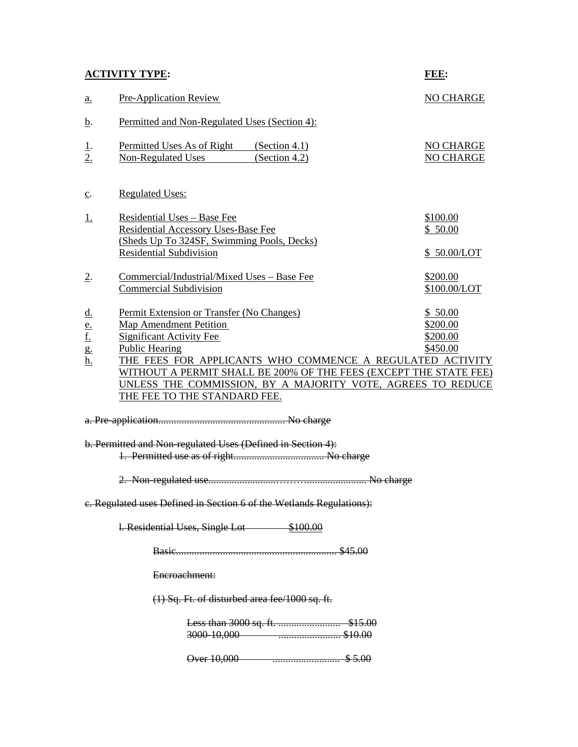|--|

| <b>ACTIVITY TYPE:</b>                                   |                                                                                                                                                                                                                                                                          | FEE:                                        |  |  |
|---------------------------------------------------------|--------------------------------------------------------------------------------------------------------------------------------------------------------------------------------------------------------------------------------------------------------------------------|---------------------------------------------|--|--|
| a.                                                      | <b>Pre-Application Review</b>                                                                                                                                                                                                                                            | <b>NO CHARGE</b>                            |  |  |
| <u>b</u> .                                              | Permitted and Non-Regulated Uses (Section 4):                                                                                                                                                                                                                            |                                             |  |  |
| <u>1</u> .<br>2.                                        | Permitted Uses As of Right (Section 4.1)<br>(Section 4.2)<br>Non-Regulated Uses                                                                                                                                                                                          | NO CHARGE<br>NO CHARGE                      |  |  |
| $\underline{c}$ .                                       | <b>Regulated Uses:</b>                                                                                                                                                                                                                                                   |                                             |  |  |
| <u>1.</u>                                               | Residential Uses - Base Fee<br>Residential Accessory Uses-Base Fee<br>(Sheds Up To 324SF, Swimming Pools, Decks)                                                                                                                                                         | \$100.00<br>\$50.00                         |  |  |
|                                                         | <b>Residential Subdivision</b>                                                                                                                                                                                                                                           | \$50.00/LOT                                 |  |  |
| $\overline{2}$ .                                        | Commercial/Industrial/Mixed Uses - Base Fee<br><b>Commercial Subdivision</b>                                                                                                                                                                                             | \$200.00<br>\$100.00/LOT                    |  |  |
| $\underline{\mathbf{d}}$ .<br>$\frac{e}{f}$<br>g.<br>h. | Permit Extension or Transfer (No Changes)<br><b>Map Amendment Petition</b><br><b>Significant Activity Fee</b><br><b>Public Hearing</b><br>THE FEES FOR APPLICANTS WHO COMMENCE A REGULATED ACTIVITY<br>WITHOUT A PERMIT SHALL BE 200% OF THE FEES (EXCEPT THE STATE FEE) | \$50.00<br>\$200.00<br>\$200.00<br>\$450.00 |  |  |
|                                                         | UNLESS THE COMMISSION, BY A MAJORITY VOTE, AGREES TO REDUCE<br>THE FEE TO THE STANDARD FEE.                                                                                                                                                                              |                                             |  |  |
|                                                         |                                                                                                                                                                                                                                                                          |                                             |  |  |
|                                                         | b. Permitted and Non-regulated Uses (Defined in Section 4):                                                                                                                                                                                                              |                                             |  |  |

1. Permitted use as of right................................... No charge

- 2. Non-regulated use..........................………....................... No charge
- c. Regulated uses Defined in Section 6 of the Wetlands Regulations):

l. Residential Uses, Single Lot \$100.00

Basic.............................................................. \$45.00

Encroachment:

(1) Sq. Ft. of disturbed area fee/1000 sq. ft.

Less than 3000 sq. ft. ........................ \$15.00 3000-10,000 ........................ \$10.00

Over 10,000 .......................... \$ 5.00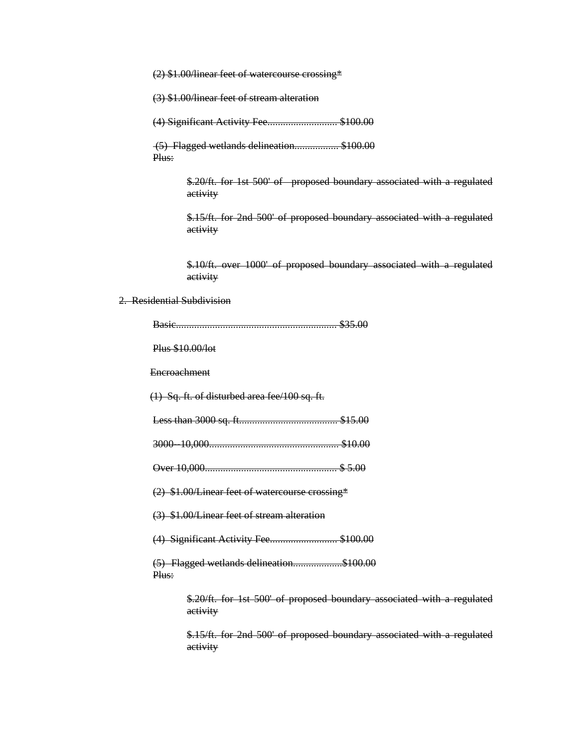(2) \$1.00/linear feet of watercourse crossing\*

(3) \$1.00/linear feet of stream alteration

(4) Significant Activity Fee........................... \$100.00

 (5) Flagged wetlands delineation................. \$100.00 Plus:

> \$.20/ft. for 1st 500' of proposed boundary associated with a regulated activity

> \$.15/ft. for 2nd 500' of proposed boundary associated with a regulated activity

> \$.10/ft. over 1000' of proposed boundary associated with a regulated activity

# 2. Residential Subdivision

|                  | \$35.00                                                                             |
|------------------|-------------------------------------------------------------------------------------|
| Plus \$10.00/lot |                                                                                     |
| Encroachment     |                                                                                     |
|                  | $(1)$ Sq. ft. of disturbed area fee/100 sq. ft.                                     |
|                  |                                                                                     |
|                  |                                                                                     |
|                  |                                                                                     |
|                  | (2) \$1.00/Linear feet of watercourse crossing*                                     |
|                  | (3) \$1.00/Linear feet of stream alteration                                         |
|                  | (4) Significant Activity Fee\$100.00                                                |
| Plus:            | (5) Flagged wetlands delineation\$100.00                                            |
|                  | \$.20/ft. for 1st 500' of proposed boundary associated with a regulated<br>activity |
|                  | \$.15/ft. for 2nd 500' of proposed boundary associated with a regulated<br>activity |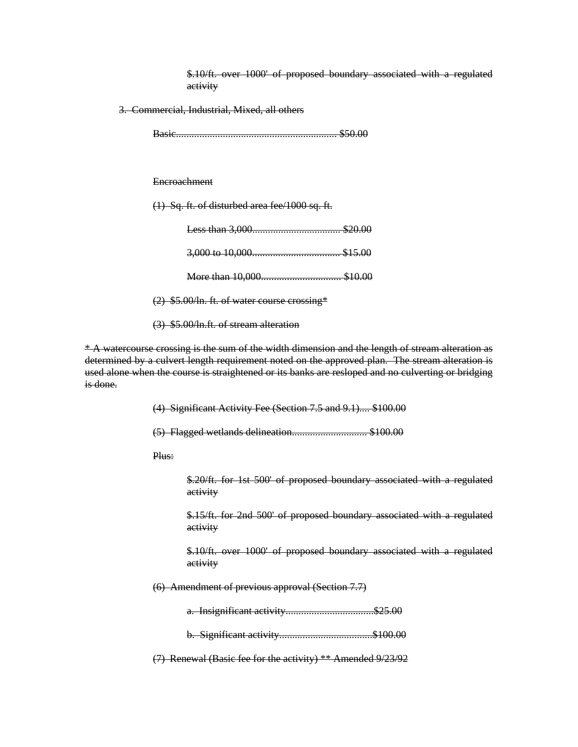\$.10/ft. over 1000' of proposed boundary associated with a regulated activity

3. Commercial, Industrial, Mixed, all others

Basic.............................................................. \$50.00

**Encroachment** 

(1) Sq. ft. of disturbed area fee/1000 sq. ft.

(2) \$5.00/ln. ft. of water course crossing\*

(3) \$5.00/ln.ft. of stream alteration

\* A watercourse crossing is the sum of the width dimension and the length of stream alteration as determined by a culvert length requirement noted on the approved plan. The stream alteration is used alone when the course is straightened or its banks are resloped and no culverting or bridging is done.

> (4) Significant Activity Fee (Section 7.5 and 9.1).... \$100.00 (5) Flagged wetlands delineation............................. \$100.00

Plus:

\$.20/ft. for 1st 500' of proposed boundary associated with a regulated activity

\$.15/ft. for 2nd 500' of proposed boundary associated with a regulated activity

\$.10/ft. over 1000' of proposed boundary associated with a regulated activity

(6) Amendment of previous approval (Section 7.7)

a. Insignificant activity.................................\$25.00

b. Significant activity....................................\$100.00

(7) Renewal (Basic fee for the activity) \*\* Amended 9/23/92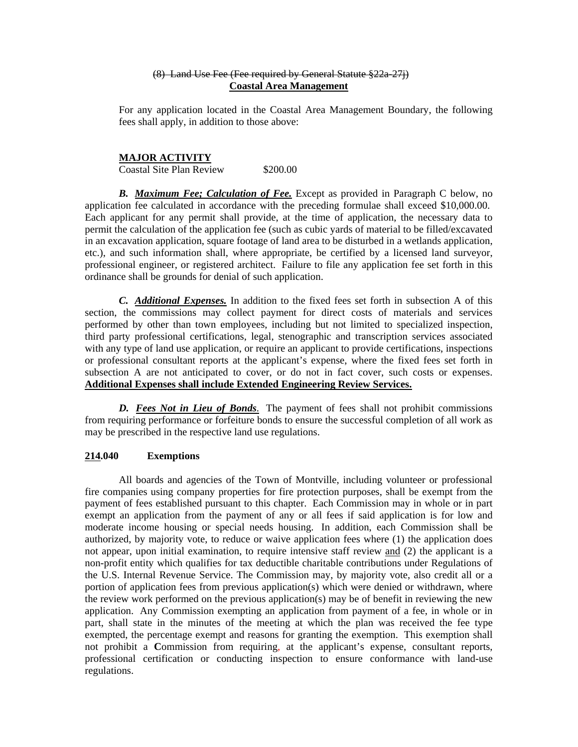### (8) Land Use Fee (Fee required by General Statute §22a-27j) **Coastal Area Management**

For any application located in the Coastal Area Management Boundary, the following fees shall apply, in addition to those above:

#### **MAJOR ACTIVITY**

Coastal Site Plan Review \$200.00

*B. Maximum Fee; Calculation of Fee.* Except as provided in Paragraph C below, no application fee calculated in accordance with the preceding formulae shall exceed \$10,000.00. Each applicant for any permit shall provide, at the time of application, the necessary data to permit the calculation of the application fee (such as cubic yards of material to be filled/excavated in an excavation application, square footage of land area to be disturbed in a wetlands application, etc.), and such information shall, where appropriate, be certified by a licensed land surveyor, professional engineer, or registered architect. Failure to file any application fee set forth in this ordinance shall be grounds for denial of such application.

*C. Additional Expenses.* In addition to the fixed fees set forth in subsection A of this section, the commissions may collect payment for direct costs of materials and services performed by other than town employees, including but not limited to specialized inspection, third party professional certifications, legal, stenographic and transcription services associated with any type of land use application, or require an applicant to provide certifications, inspections or professional consultant reports at the applicant's expense, where the fixed fees set forth in subsection A are not anticipated to cover, or do not in fact cover, such costs or expenses. **Additional Expenses shall include Extended Engineering Review Services.** 

*D. Fees Not in Lieu of Bonds*. The payment of fees shall not prohibit commissions from requiring performance or forfeiture bonds to ensure the successful completion of all work as may be prescribed in the respective land use regulations.

### **214.040 Exemptions**

All boards and agencies of the Town of Montville, including volunteer or professional fire companies using company properties for fire protection purposes, shall be exempt from the payment of fees established pursuant to this chapter. Each Commission may in whole or in part exempt an application from the payment of any or all fees if said application is for low and moderate income housing or special needs housing. In addition, each Commission shall be authorized, by majority vote, to reduce or waive application fees where (1) the application does not appear, upon initial examination, to require intensive staff review and (2) the applicant is a non-profit entity which qualifies for tax deductible charitable contributions under Regulations of the U.S. Internal Revenue Service. The Commission may, by majority vote, also credit all or a portion of application fees from previous application(s) which were denied or withdrawn, where the review work performed on the previous application(s) may be of benefit in reviewing the new application. Any Commission exempting an application from payment of a fee, in whole or in part, shall state in the minutes of the meeting at which the plan was received the fee type exempted, the percentage exempt and reasons for granting the exemption. This exemption shall not prohibit a **C**ommission from requiring, at the applicant's expense, consultant reports, professional certification or conducting inspection to ensure conformance with land-use regulations.